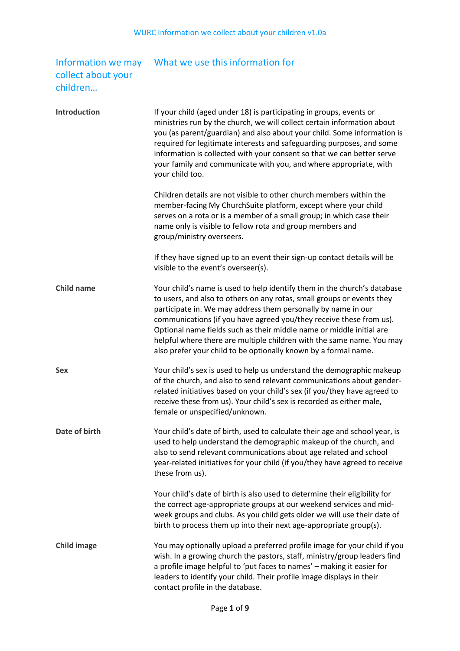## collect about your children…

## Information we may What we use this information for

| <b>Introduction</b> | If your child (aged under 18) is participating in groups, events or<br>ministries run by the church, we will collect certain information about<br>you (as parent/guardian) and also about your child. Some information is<br>required for legitimate interests and safeguarding purposes, and some<br>information is collected with your consent so that we can better serve<br>your family and communicate with you, and where appropriate, with<br>your child too.                                           |
|---------------------|----------------------------------------------------------------------------------------------------------------------------------------------------------------------------------------------------------------------------------------------------------------------------------------------------------------------------------------------------------------------------------------------------------------------------------------------------------------------------------------------------------------|
|                     | Children details are not visible to other church members within the<br>member-facing My ChurchSuite platform, except where your child<br>serves on a rota or is a member of a small group; in which case their<br>name only is visible to fellow rota and group members and<br>group/ministry overseers.                                                                                                                                                                                                       |
|                     | If they have signed up to an event their sign-up contact details will be<br>visible to the event's overseer(s).                                                                                                                                                                                                                                                                                                                                                                                                |
| <b>Child name</b>   | Your child's name is used to help identify them in the church's database<br>to users, and also to others on any rotas, small groups or events they<br>participate in. We may address them personally by name in our<br>communications (if you have agreed you/they receive these from us).<br>Optional name fields such as their middle name or middle initial are<br>helpful where there are multiple children with the same name. You may<br>also prefer your child to be optionally known by a formal name. |
| <b>Sex</b>          | Your child's sex is used to help us understand the demographic makeup<br>of the church, and also to send relevant communications about gender-<br>related initiatives based on your child's sex (if you/they have agreed to<br>receive these from us). Your child's sex is recorded as either male,<br>female or unspecified/unknown.                                                                                                                                                                          |
| Date of birth       | Your child's date of birth, used to calculate their age and school year, is<br>used to help understand the demographic makeup of the church, and<br>also to send relevant communications about age related and school<br>year-related initiatives for your child (if you/they have agreed to receive<br>these from us).                                                                                                                                                                                        |
|                     | Your child's date of birth is also used to determine their eligibility for<br>the correct age-appropriate groups at our weekend services and mid-<br>week groups and clubs. As you child gets older we will use their date of<br>birth to process them up into their next age-appropriate group(s).                                                                                                                                                                                                            |
| <b>Child image</b>  | You may optionally upload a preferred profile image for your child if you<br>wish. In a growing church the pastors, staff, ministry/group leaders find<br>a profile image helpful to 'put faces to names' - making it easier for<br>leaders to identify your child. Their profile image displays in their<br>contact profile in the database.                                                                                                                                                                  |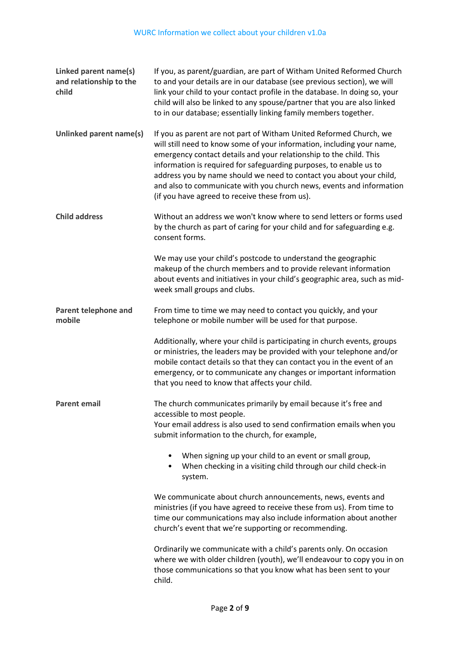| Linked parent name(s)<br>and relationship to the<br>child | If you, as parent/guardian, are part of Witham United Reformed Church<br>to and your details are in our database (see previous section), we will<br>link your child to your contact profile in the database. In doing so, your<br>child will also be linked to any spouse/partner that you are also linked<br>to in our database; essentially linking family members together.                                                                                                            |
|-----------------------------------------------------------|-------------------------------------------------------------------------------------------------------------------------------------------------------------------------------------------------------------------------------------------------------------------------------------------------------------------------------------------------------------------------------------------------------------------------------------------------------------------------------------------|
| Unlinked parent name(s)                                   | If you as parent are not part of Witham United Reformed Church, we<br>will still need to know some of your information, including your name,<br>emergency contact details and your relationship to the child. This<br>information is required for safeguarding purposes, to enable us to<br>address you by name should we need to contact you about your child,<br>and also to communicate with you church news, events and information<br>(if you have agreed to receive these from us). |
| <b>Child address</b>                                      | Without an address we won't know where to send letters or forms used<br>by the church as part of caring for your child and for safeguarding e.g.<br>consent forms.                                                                                                                                                                                                                                                                                                                        |
|                                                           | We may use your child's postcode to understand the geographic<br>makeup of the church members and to provide relevant information<br>about events and initiatives in your child's geographic area, such as mid-<br>week small groups and clubs.                                                                                                                                                                                                                                           |
| Parent telephone and<br>mobile                            | From time to time we may need to contact you quickly, and your<br>telephone or mobile number will be used for that purpose.                                                                                                                                                                                                                                                                                                                                                               |
|                                                           | Additionally, where your child is participating in church events, groups<br>or ministries, the leaders may be provided with your telephone and/or<br>mobile contact details so that they can contact you in the event of an<br>emergency, or to communicate any changes or important information<br>that you need to know that affects your child.                                                                                                                                        |
| <b>Parent email</b>                                       | The church communicates primarily by email because it's free and                                                                                                                                                                                                                                                                                                                                                                                                                          |
|                                                           | accessible to most people.<br>Your email address is also used to send confirmation emails when you<br>submit information to the church, for example,                                                                                                                                                                                                                                                                                                                                      |
|                                                           | When signing up your child to an event or small group,<br>٠<br>When checking in a visiting child through our child check-in<br>٠<br>system.                                                                                                                                                                                                                                                                                                                                               |
|                                                           | We communicate about church announcements, news, events and<br>ministries (if you have agreed to receive these from us). From time to<br>time our communications may also include information about another<br>church's event that we're supporting or recommending.                                                                                                                                                                                                                      |
|                                                           | Ordinarily we communicate with a child's parents only. On occasion<br>where we with older children (youth), we'll endeavour to copy you in on<br>those communications so that you know what has been sent to your<br>child.                                                                                                                                                                                                                                                               |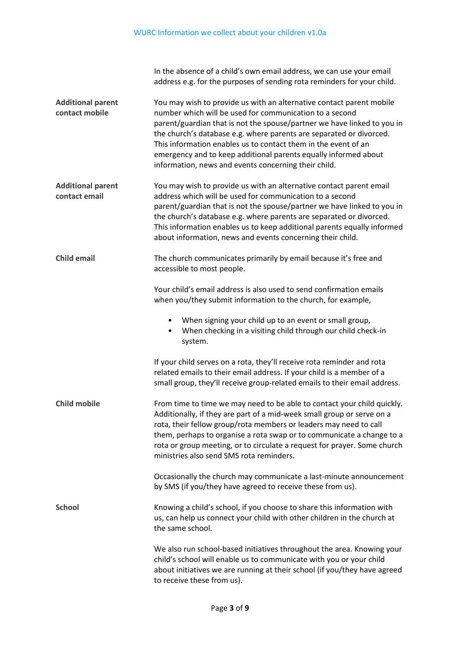In the absence of a child's own email address, we can use your email address e.g. for the purposes of sending rota reminders for your child. **Additional parent contact mobile** You may wish to provide us with an alternative contact parent mobile number which will be used for communication to a second parent/guardian that is not the spouse/partner we have linked to you in the church's database e.g. where parents are separated or divorced. This information enables us to contact them in the event of an emergency and to keep additional parents equally informed about information, news and events concerning their child. **Additional parent contact email** You may wish to provide us with an alternative contact parent email address which will be used for communication to a second parent/guardian that is not the spouse/partner we have linked to you in the church's database e.g. where parents are separated or divorced. This information enables us to keep additional parents equally informed about information, news and events concerning their child. **Child email** The church communicates primarily by email because it's free and accessible to most people. Your child's email address is also used to send confirmation emails when you/they submit information to the church, for example, • When signing your child up to an event or small group, • When checking in a visiting child through our child check-in system. If your child serves on a rota, they'll receive rota reminder and rota related emails to their email address. If your child is a member of a small group, they'll receive group-related emails to their email address. **Child mobile** From time to time we may need to be able to contact your child quickly. Additionally, if they are part of a mid-week small group or serve on a rota, their fellow group/rota members or leaders may need to call them, perhaps to organise a rota swap or to communicate a change to a rota or group meeting, or to circulate a request for prayer. Some church ministries also send SMS rota reminders. Occasionally the church may communicate a last-minute announcement by SMS (if you/they have agreed to receive these from us). **School** Knowing a child's school, if you choose to share this information with us, can help us connect your child with other children in the church at the same school. We also run school-based initiatives throughout the area. Knowing your child's school will enable us to communicate with you or your child about initiatives we are running at their school (if you/they have agreed to receive these from us).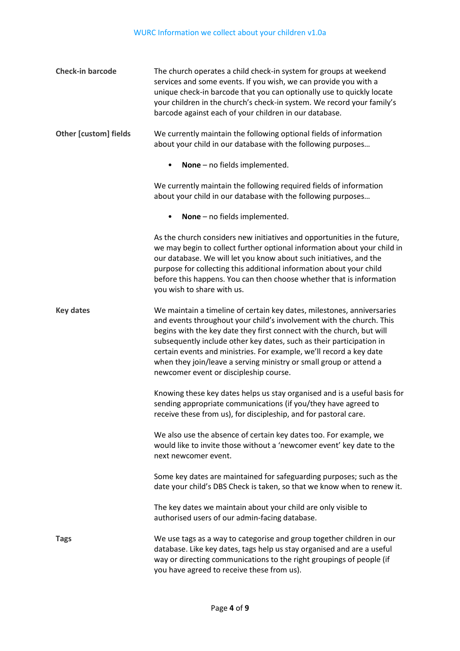| <b>Check-in barcode</b>                    | The church operates a child check-in system for groups at weekend<br>services and some events. If you wish, we can provide you with a<br>unique check-in barcode that you can optionally use to quickly locate<br>your children in the church's check-in system. We record your family's<br>barcode against each of your children in our database.                                                                                                                                     |  |
|--------------------------------------------|----------------------------------------------------------------------------------------------------------------------------------------------------------------------------------------------------------------------------------------------------------------------------------------------------------------------------------------------------------------------------------------------------------------------------------------------------------------------------------------|--|
| <b>Other [custom] fields</b>               | We currently maintain the following optional fields of information<br>about your child in our database with the following purposes                                                                                                                                                                                                                                                                                                                                                     |  |
| None - no fields implemented.<br>$\bullet$ |                                                                                                                                                                                                                                                                                                                                                                                                                                                                                        |  |
|                                            | We currently maintain the following required fields of information<br>about your child in our database with the following purposes                                                                                                                                                                                                                                                                                                                                                     |  |
|                                            | None - no fields implemented.                                                                                                                                                                                                                                                                                                                                                                                                                                                          |  |
|                                            | As the church considers new initiatives and opportunities in the future,<br>we may begin to collect further optional information about your child in<br>our database. We will let you know about such initiatives, and the<br>purpose for collecting this additional information about your child<br>before this happens. You can then choose whether that is information<br>you wish to share with us.                                                                                |  |
| <b>Key dates</b>                           | We maintain a timeline of certain key dates, milestones, anniversaries<br>and events throughout your child's involvement with the church. This<br>begins with the key date they first connect with the church, but will<br>subsequently include other key dates, such as their participation in<br>certain events and ministries. For example, we'll record a key date<br>when they join/leave a serving ministry or small group or attend a<br>newcomer event or discipleship course. |  |
|                                            | Knowing these key dates helps us stay organised and is a useful basis for<br>sending appropriate communications (if you/they have agreed to<br>receive these from us), for discipleship, and for pastoral care.                                                                                                                                                                                                                                                                        |  |
|                                            | We also use the absence of certain key dates too. For example, we<br>would like to invite those without a 'newcomer event' key date to the<br>next newcomer event.                                                                                                                                                                                                                                                                                                                     |  |
|                                            | Some key dates are maintained for safeguarding purposes; such as the<br>date your child's DBS Check is taken, so that we know when to renew it.                                                                                                                                                                                                                                                                                                                                        |  |
|                                            | The key dates we maintain about your child are only visible to<br>authorised users of our admin-facing database.                                                                                                                                                                                                                                                                                                                                                                       |  |
| <b>Tags</b>                                | We use tags as a way to categorise and group together children in our<br>database. Like key dates, tags help us stay organised and are a useful<br>way or directing communications to the right groupings of people (if<br>you have agreed to receive these from us).                                                                                                                                                                                                                  |  |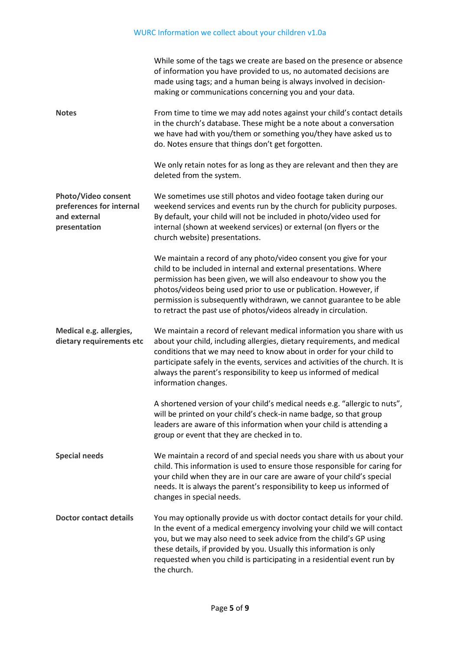## WURC Information we collect about your children v1.0a

|                                                                                 | While some of the tags we create are based on the presence or absence<br>of information you have provided to us, no automated decisions are<br>made using tags; and a human being is always involved in decision-<br>making or communications concerning you and your data.                                                                                                                                                   |
|---------------------------------------------------------------------------------|-------------------------------------------------------------------------------------------------------------------------------------------------------------------------------------------------------------------------------------------------------------------------------------------------------------------------------------------------------------------------------------------------------------------------------|
| <b>Notes</b>                                                                    | From time to time we may add notes against your child's contact details<br>in the church's database. These might be a note about a conversation<br>we have had with you/them or something you/they have asked us to<br>do. Notes ensure that things don't get forgotten.                                                                                                                                                      |
|                                                                                 | We only retain notes for as long as they are relevant and then they are<br>deleted from the system.                                                                                                                                                                                                                                                                                                                           |
| Photo/Video consent<br>preferences for internal<br>and external<br>presentation | We sometimes use still photos and video footage taken during our<br>weekend services and events run by the church for publicity purposes.<br>By default, your child will not be included in photo/video used for<br>internal (shown at weekend services) or external (on flyers or the<br>church website) presentations.                                                                                                      |
|                                                                                 | We maintain a record of any photo/video consent you give for your<br>child to be included in internal and external presentations. Where<br>permission has been given, we will also endeavour to show you the<br>photos/videos being used prior to use or publication. However, if<br>permission is subsequently withdrawn, we cannot guarantee to be able<br>to retract the past use of photos/videos already in circulation. |
| Medical e.g. allergies,<br>dietary requirements etc                             | We maintain a record of relevant medical information you share with us<br>about your child, including allergies, dietary requirements, and medical<br>conditions that we may need to know about in order for your child to<br>participate safely in the events, services and activities of the church. It is<br>always the parent's responsibility to keep us informed of medical<br>information changes.                     |
|                                                                                 | A shortened version of your child's medical needs e.g. "allergic to nuts",<br>will be printed on your child's check-in name badge, so that group<br>leaders are aware of this information when your child is attending a<br>group or event that they are checked in to.                                                                                                                                                       |
| <b>Special needs</b>                                                            | We maintain a record of and special needs you share with us about your<br>child. This information is used to ensure those responsible for caring for<br>your child when they are in our care are aware of your child's special<br>needs. It is always the parent's responsibility to keep us informed of<br>changes in special needs.                                                                                         |
| <b>Doctor contact details</b>                                                   | You may optionally provide us with doctor contact details for your child.<br>In the event of a medical emergency involving your child we will contact<br>you, but we may also need to seek advice from the child's GP using<br>these details, if provided by you. Usually this information is only<br>requested when you child is participating in a residential event run by<br>the church.                                  |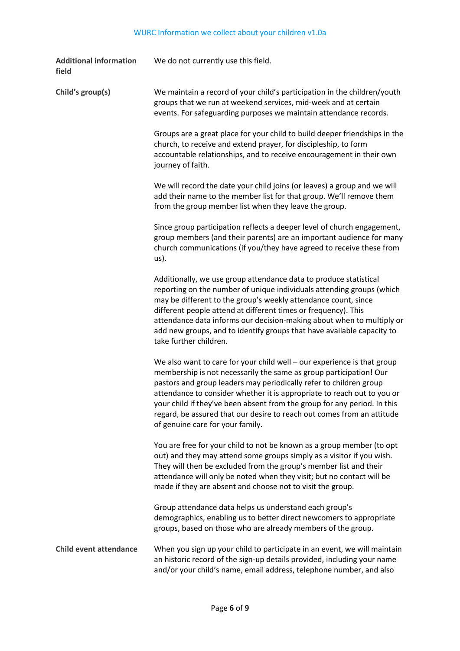| <b>Additional information</b><br>field | We do not currently use this field.                                                                                                                                                                                                                                                                                                                                                                                                                                                      |
|----------------------------------------|------------------------------------------------------------------------------------------------------------------------------------------------------------------------------------------------------------------------------------------------------------------------------------------------------------------------------------------------------------------------------------------------------------------------------------------------------------------------------------------|
| Child's group(s)                       | We maintain a record of your child's participation in the children/youth<br>groups that we run at weekend services, mid-week and at certain<br>events. For safeguarding purposes we maintain attendance records.                                                                                                                                                                                                                                                                         |
|                                        | Groups are a great place for your child to build deeper friendships in the<br>church, to receive and extend prayer, for discipleship, to form<br>accountable relationships, and to receive encouragement in their own<br>journey of faith.                                                                                                                                                                                                                                               |
|                                        | We will record the date your child joins (or leaves) a group and we will<br>add their name to the member list for that group. We'll remove them<br>from the group member list when they leave the group.                                                                                                                                                                                                                                                                                 |
|                                        | Since group participation reflects a deeper level of church engagement,<br>group members (and their parents) are an important audience for many<br>church communications (if you/they have agreed to receive these from<br>us).                                                                                                                                                                                                                                                          |
|                                        | Additionally, we use group attendance data to produce statistical<br>reporting on the number of unique individuals attending groups (which<br>may be different to the group's weekly attendance count, since<br>different people attend at different times or frequency). This<br>attendance data informs our decision-making about when to multiply or<br>add new groups, and to identify groups that have available capacity to<br>take further children.                              |
|                                        | We also want to care for your child well - our experience is that group<br>membership is not necessarily the same as group participation! Our<br>pastors and group leaders may periodically refer to children group<br>attendance to consider whether it is appropriate to reach out to you or<br>your child if they've been absent from the group for any period. In this<br>regard, be assured that our desire to reach out comes from an attitude<br>of genuine care for your family. |
|                                        | You are free for your child to not be known as a group member (to opt<br>out) and they may attend some groups simply as a visitor if you wish.<br>They will then be excluded from the group's member list and their<br>attendance will only be noted when they visit; but no contact will be<br>made if they are absent and choose not to visit the group.                                                                                                                               |
|                                        | Group attendance data helps us understand each group's<br>demographics, enabling us to better direct newcomers to appropriate<br>groups, based on those who are already members of the group.                                                                                                                                                                                                                                                                                            |
| <b>Child event attendance</b>          | When you sign up your child to participate in an event, we will maintain<br>an historic record of the sign-up details provided, including your name<br>and/or your child's name, email address, telephone number, and also                                                                                                                                                                                                                                                               |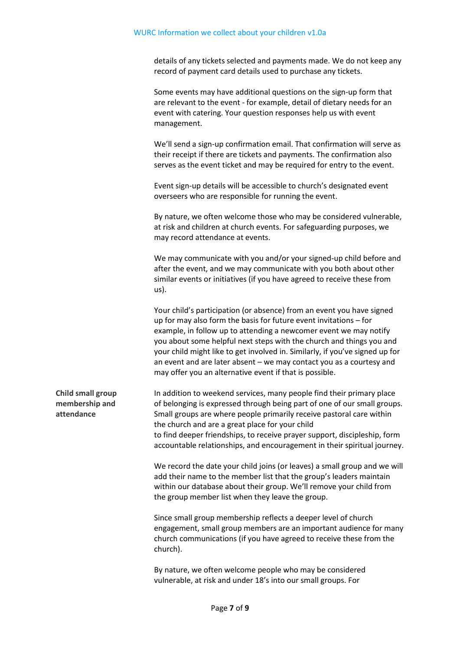details of any tickets selected and payments made. We do not keep any record of payment card details used to purchase any tickets.

Some events may have additional questions on the sign-up form that are relevant to the event - for example, detail of dietary needs for an event with catering. Your question responses help us with event management.

We'll send a sign-up confirmation email. That confirmation will serve as their receipt if there are tickets and payments. The confirmation also serves as the event ticket and may be required for entry to the event.

Event sign-up details will be accessible to church's designated event overseers who are responsible for running the event.

By nature, we often welcome those who may be considered vulnerable, at risk and children at church events. For safeguarding purposes, we may record attendance at events.

We may communicate with you and/or your signed-up child before and after the event, and we may communicate with you both about other similar events or initiatives (if you have agreed to receive these from us).

Your child's participation (or absence) from an event you have signed up for may also form the basis for future event invitations – for example, in follow up to attending a newcomer event we may notify you about some helpful next steps with the church and things you and your child might like to get involved in. Similarly, if you've signed up for an event and are later absent – we may contact you as a courtesy and may offer you an alternative event if that is possible.

**Child small group membership and attendance** In addition to weekend services, many people find their primary place of belonging is expressed through being part of one of our small groups. Small groups are where people primarily receive pastoral care within the church and are a great place for your child to find deeper friendships, to receive prayer support, discipleship, form accountable relationships, and encouragement in their spiritual journey.

> We record the date your child joins (or leaves) a small group and we will add their name to the member list that the group's leaders maintain within our database about their group. We'll remove your child from the group member list when they leave the group.

> Since small group membership reflects a deeper level of church engagement, small group members are an important audience for many church communications (if you have agreed to receive these from the church).

By nature, we often welcome people who may be considered vulnerable, at risk and under 18's into our small groups. For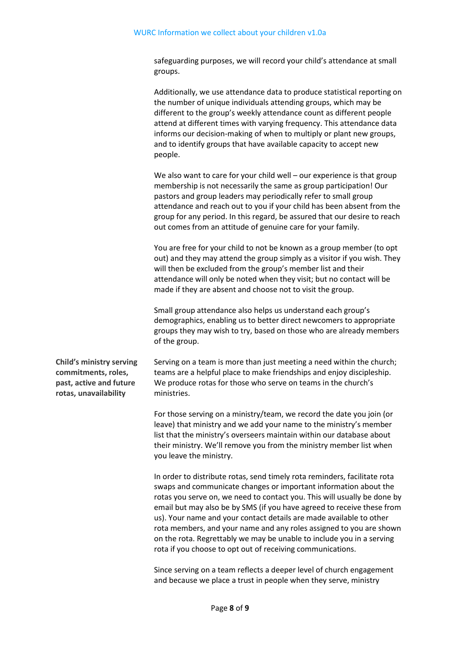safeguarding purposes, we will record your child's attendance at small groups.

Additionally, we use attendance data to produce statistical reporting on the number of unique individuals attending groups, which may be different to the group's weekly attendance count as different people attend at different times with varying frequency. This attendance data informs our decision-making of when to multiply or plant new groups, and to identify groups that have available capacity to accept new people.

We also want to care for your child well – our experience is that group membership is not necessarily the same as group participation! Our pastors and group leaders may periodically refer to small group attendance and reach out to you if your child has been absent from the group for any period. In this regard, be assured that our desire to reach out comes from an attitude of genuine care for your family.

You are free for your child to not be known as a group member (to opt out) and they may attend the group simply as a visitor if you wish. They will then be excluded from the group's member list and their attendance will only be noted when they visit; but no contact will be made if they are absent and choose not to visit the group.

Small group attendance also helps us understand each group's demographics, enabling us to better direct newcomers to appropriate groups they may wish to try, based on those who are already members of the group.

**Child's ministry serving commitments, roles, past, active and future rotas, unavailability**

Serving on a team is more than just meeting a need within the church; teams are a helpful place to make friendships and enjoy discipleship. We produce rotas for those who serve on teams in the church's ministries.

For those serving on a ministry/team, we record the date you join (or leave) that ministry and we add your name to the ministry's member list that the ministry's overseers maintain within our database about their ministry. We'll remove you from the ministry member list when you leave the ministry.

In order to distribute rotas, send timely rota reminders, facilitate rota swaps and communicate changes or important information about the rotas you serve on, we need to contact you. This will usually be done by email but may also be by SMS (if you have agreed to receive these from us). Your name and your contact details are made available to other rota members, and your name and any roles assigned to you are shown on the rota. Regrettably we may be unable to include you in a serving rota if you choose to opt out of receiving communications.

Since serving on a team reflects a deeper level of church engagement and because we place a trust in people when they serve, ministry